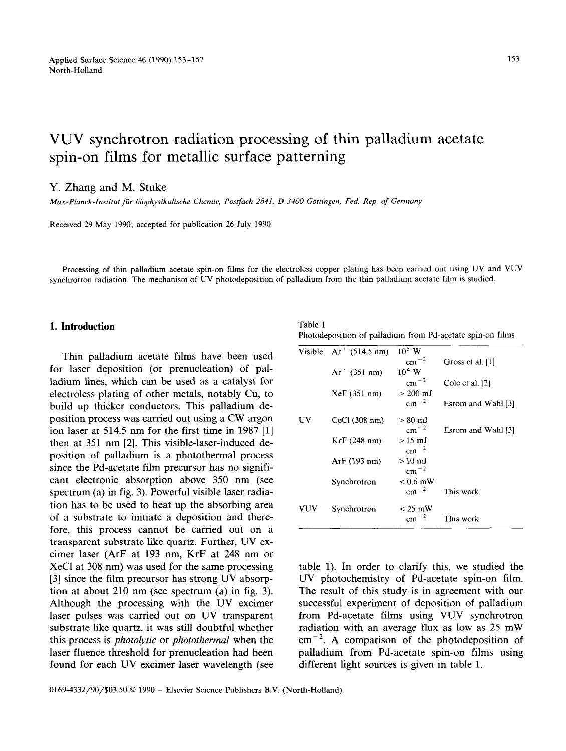# VUV synchrotron radiation processing of thin palladium acetate spin-on films for metallic surface patterning

#### Y. Zhang and M. Stuke

*Max-Planck-Institut ftir biophysikalische Chemie, Postfach 2841, D-3400 Giittingen, Fed. Rep. of Germany* 

Received 29 May 1990; accepted for publication 26 July 1990

Processing of thin palladium acetate spin-on films for the electroless copper plating has been carried out using UV and VUV synchrotron radiation. The mechanism of UV photodeposition of palladium from the thin palladium acetate film is studied.

## **1. Introduction** Table 1

Thin palladium acetate films have been used for laser deposition (or prenucleation) of palladium lines, which can be used as a catalyst for electroless plating of other metals, notably Cu, to build up thicker conductors. This palladium deposition process was carried out using a CW argon ion laser at 514.5 nm for the first time in 1987 [l] then at 351 nm [2]. This visible-laser-induced deposition of palladium is a photothermal process since the Pd-acetate film precursor has no significant electronic absorption above 350 nm (see spectrum (a) in fig. 3). Powerful visible laser radiation has to be used to heat up the absorbing area of a substrate to initiate a deposition and therefore, this process cannot be carried out on a transparent substrate like quartz. Further, UV excimer laser (ArF at 193 nm, KrF at 248 nm or XeCl at 308 nm) was used for the same processing [3] since the film precursor has strong UV absorption at about 210 nm (see spectrum (a) in fig. 3). Although the processing with the UV excimer laser pulses was carried out on UV transparent substrate like quartz, it was still doubtful whether this process is *photolytic* or *photothermal* when the laser fluence threshold for prenucleation had been found for each UV excimer laser wavelength (see

Photodeposition of palladium from Pd-acetate spin-on films

|     | Visible $Ar^+$ (514.5 nm) | $10^5$ W               |                    |
|-----|---------------------------|------------------------|--------------------|
|     |                           | $\rm cm^{-2}$          | Gross et al. [1]   |
|     | $Ar^+$ (351 nm)           | $10^4$ W               |                    |
|     |                           | $cm^{-2}$              | Cole et al. [2]    |
|     | XeF(351 nm)               | $> 200 \; \mathrm{mJ}$ |                    |
|     |                           | $cm^{-2}$              | Esrom and Wahl [3] |
| UV  | CeCl(308 nm)              | $> 80~{\rm mJ}$        |                    |
|     |                           | $cm^{-2}$              | Esrom and Wahl [3] |
|     | KrF(248 nm)               | $>15$ mJ               |                    |
|     |                           | $cm^{-2}$              |                    |
|     | ArF (193 nm)              | $>10 \text{ mJ}$       |                    |
|     |                           | $cm^{-2}$              |                    |
|     | Synchrotron               | $< 0.6$ mW             |                    |
|     |                           | $cm^{-2}$              | This work          |
| VUV | Synchrotron               | $<$ 25 mW              |                    |
|     |                           | $\rm cm^{-2}$          | This work          |

table 1). In order to clarify this, we studied the UV photochemistry of Pd-acetate spin-on film. The result of this study is in agreement with our successful experiment of deposition of palladium from Pd-acetate films using VUV synchrotron radiation with an average flux as low as 25 mW  $cm^{-2}$ . A comparison of the photodeposition of palladium from Pd-acetate spin-on films using different light sources is given in table 1.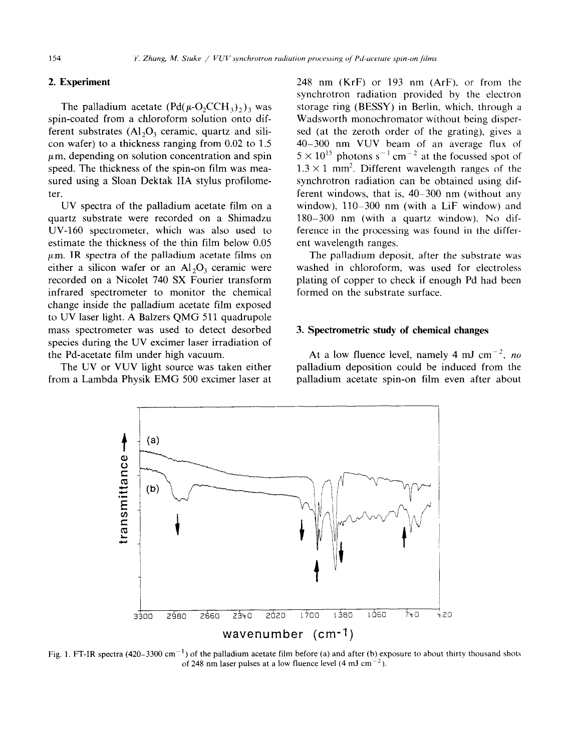#### **2. Experiment**

The palladium acetate  $( Pd(\mu-O_2CCH_3)_2)_3$  was spin-coated from a chloroform solution onto different substrates  $(Al_2O_3$  ceramic, quartz and silicon wafer) to a thickness ranging from 0.02 to 1.5  $\mu$ m, depending on solution concentration and spin speed. The thickness of the spin-on film was measured using a Sloan Dektak IIA stylus profilometer.

UV spectra of the palladium acetate film on a quartz substrate were recorded on a Shimadzu UV-160 spectrometer, which was also used to estimate the thickness of the thin film below 0.05  $\mu$ m. IR spectra of the palladium acetate films on either a silicon wafer or an  $Al_2O_3$  ceramic were recorded on a Nicolet 740 SX Fourier transform infrared spectrometer to monitor the chemical change inside the palladium acetate film exposed to UV laser light. A Balzers QMG 511 quadrupole mass spectrometer was used to detect desorbed species during the UV excimer laser irradiation of the Pd-acetate film under high vacuum.

The UV or VUV light source was taken either from a Lambda Physik EMG 500 excimer laser at

248 nm (KrF) or 193 nm (ArF), or from the synchrotron radiation provided by the electron storage ring (BESSY) in Berlin, which, through a Wadsworth monochromator without being dispersed (at the zeroth order of the grating), gives a 40-300 nm VUV beam of an average flux of  $5 \times 10^{13}$  photons s<sup>-1</sup> cm<sup>-2</sup> at the focussed spot of  $1.3 \times 1$  mm<sup>2</sup>. Different wavelength ranges of the synchrotron radiation can be obtained using different windows, that is, 40-300 nm (without any window), 110-300 nm (with a LiF window) and 180-300 nm (with a quartz window). No difference in the processing was found in the different wavelength ranges.

The palladium deposit, after the substrate was washed in chloroform, was used for electroless plating of copper to check if enough Pd had been formed on the substrate surface.

#### **3. Spectrometric study of chemical changes**

At a low fluence level, namely 4 mJ cm<sup>-2</sup>, no palladium deposition could be induced from the palladium acetate spin-on film even after about



Fig. 1. FT-IR spectra (420–3300 cm<sup>-1</sup>) of the palladium acetate film before (a) and after (b) exposure to about thirty thousand shots of 248 nm laser pulses at a low fluence level  $(4 \text{ mJ cm}^{-2})$ .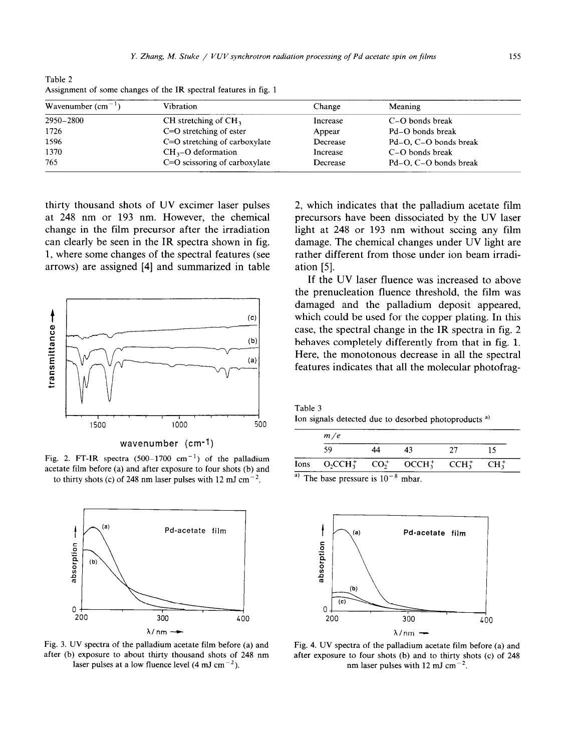| Wavenumber $\text{(cm}^{-1})$ | Vibration                     | Change   | Meaning               |
|-------------------------------|-------------------------------|----------|-----------------------|
| 2950-2800                     | CH stretching of $CH3$        | Increase | C-O bonds break       |
| 1726                          | C=O stretching of ester       | Appear   | Pd-O bonds break      |
| 1596                          | C=O stretching of carboxylate | Decrease | Pd-O, C-O bonds break |
| 1370                          | $CH3$ -O deformation          | Increase | C-O bonds break       |
| 765                           | C=O scissoring of carboxylate | Decrease | Pd-O, C-O bonds break |

Table 2 Assignment of some changes of the IR spectral features in fig. 1

thirty thousand shots of UV excimer laser pulses at 248 nm or 193 nm. However, the chemical change in the film precursor after the irradiation can clearly be seen in the IR spectra shown in fig. 1, where some changes of the spectral features (see arrows) are assigned [4] and summarized in table



wavenumber (cm-l)

Fig. 2. FT-IR spectra  $(500-1700 \text{ cm}^{-1})$  of the palladium acetate film before (a) and after exposure to four shots (b) and to thirty shots (c) of 248 nm laser pulses with 12 mJ cm<sup>-2</sup>.



Fig. 3. UV spectra of the palladium acetate film before (a) and after (b) exposure to about thirty thousand shots of 248 nm laser pulses at a low fluence level  $(4 \text{ mJ cm}^{-2})$ .

2, which indicates that the palladium acetate film precursors have been dissociated by the UV laser light at 248 or 193 nm without seeing any film damage. The chemical changes under UV light are rather different from those under ion beam irradiation [5].

If the UV laser fluence was increased to above the prenucleation fluence threshold, the film was damaged and the palladium deposit appeared, which could be used for the copper plating. In this case, the spectral change in the IR spectra in fig. 2 behaves completely differently from that in fig. 1. Here, the monotonous decrease in all the spectral features indicates that all the molecular photofrag-

| Table 3 |  |                                                                  |  |
|---------|--|------------------------------------------------------------------|--|
|         |  | Ion signals detected due to desorbed photoproducts <sup>a)</sup> |  |

| m/e                                            |    |    |     |          |  |
|------------------------------------------------|----|----|-----|----------|--|
| 59                                             | 44 | 43 | -27 |          |  |
| Ions $O_2CCH_3^+$ $CO_2^+$ $OCH_3^+$ $CCH_3^+$ |    |    |     | $CH_3^+$ |  |

<sup>a)</sup> The base pressure is  $10^{-8}$  mbar.



Fig. 4. UV spectra of the palladium acetate film before (a) and after exposure to four shots (b) and to thirty shots (c) of 248 nm laser pulses with 12 mJ cm<sup>-</sup>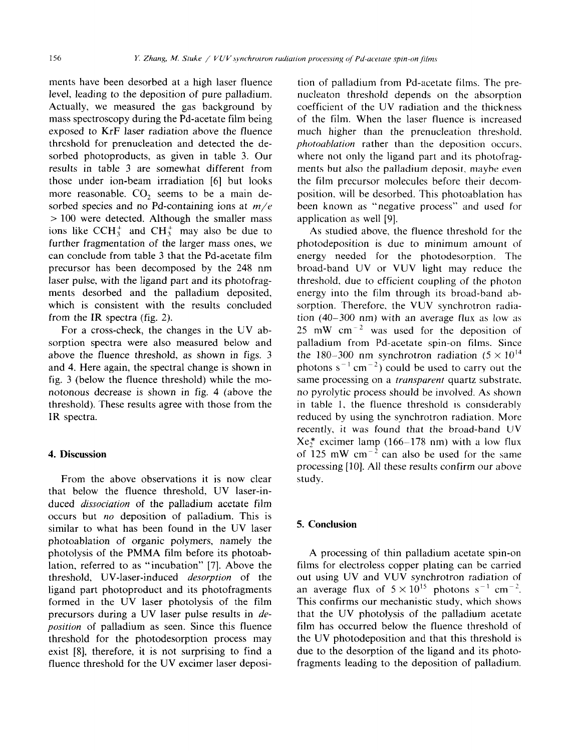ments have been desorbed at a high laser fluence level, leading to the deposition of pure palladium. Actually, we measured the gas background by mass spectroscopy during the Pd-acetate film being exposed to KrF laser radiation above the fluence threshold for prenucleation and detected the desorbed photoproducts, as given in table 3. Our results in table 3 are somewhat different from those under ion-beam irradiation [6] but looks more reasonable. CO<sub>2</sub> seems to be a main desorbed species and no Pd-containing ions at  $m/e$ > 100 were detected. Although the smaller mass ions like CCH<sub>3</sub><sup>+</sup> and CH<sub>3</sub><sup>+</sup> may also be due to further fragmentation of the larger mass ones, we can conclude from table 3 that the Pd-acetate film precursor has been decomposed by the 248 nm laser pulse, with the ligand part and its photofragments desorbed and the palladium deposited, which is consistent with the results concluded from the IR spectra (fig. 2).

For a cross-check, the changes in the UV absorption spectra were also measured below and above the fluence threshold, as shown in figs. 3 and 4. Here again, the spectral change is shown in fig. 3 (below the fluence threshold) while the monotonous decrease is shown in fig. 4 (above the threshold). These results agree with those from the IR spectra.

## 4. **Discussion**

From the above observations it is now clear that below the fluence threshold, UV laser-induced *dissociation* of the palladium acetate film occurs but no deposition of palladium. This is similar to what has been found in the UV laser photoablation of organic polymers, namely the photolysis of the PMMA film before its photoablation, referred to as "incubation" [7]. Above the threshold, UV-laser-induced *desorption* of the ligand part photoproduct and its photofragments formed in the UV laser photolysis of the film precursors during a UV laser pulse results in *deposition* of palladium as seen. Since this fluence threshold for the photodesorption process may exist [8], therefore, it is not surprising to find a fluence threshold for the UV excimer laser deposi-

tion of palladium from Pd-acetate films. The prenucleaton threshold depends on the absorption coefficient of the UV radiation and the thickness of the film. When the laser fluence is increased much higher than the prenucleation threshold. *photoahlation* rather than the deposition occurs. where not only the ligand part and its photofragments but also the palladium deposit, maybe even the film precursor molecules before their decomposition. will be desorbed. This photoablation has been known as "negative process" and **used** for application as well [9].

As studied above, the fluence threshold for the photodeposition is due to minimum amount of energy needed for the photodesorption. The broad-band UV or VUV light may reduce the threshold. due to efficient coupling of the photon energy into the film through its broad-band absorption. Therefore, the VUV synchrotron radiation (40-300 nm) with an average flux as low as 25 mW  $cm^{-2}$  was used for the deposition of palladium from Pd-acetate spin-on films. Since the 180–300 nm synchrotron radiation  $(5 \times 10^{14})$ photons  $s^{-1}$  cm<sup>-2</sup>) could be used to carry out the same processing on a *transparent* quartz substrate. no pyrolytic process should be involved. As shown in table I. the fluence threshold is considerably reduced by using the synchrotron radiation. More recently, it was found that the broad-band UV  $Xe_2^*$  excimer lamp (166-178 nm) with a low flux of  $125 \text{ mW cm}^{-2}$  can also be used for the same processing [lo]. All these results confirm our above study.

## 5. **Conclusion**

A processing of thin palladium acetate spin-on films for electroless copper plating can be carried out using UV and VUV synchrotron radiation of an average flux of  $5 \times 10^{15}$  photons s<sup>-1</sup> cm<sup>-2</sup>. This confirms our mechanistic study, which shows that the UV photolysis of the palladium acetate film has occurred below the fluence threshold of the UV photodeposition and that this threshold is due to the desorption of the ligand and its photofragments leading to the deposition of palladium.